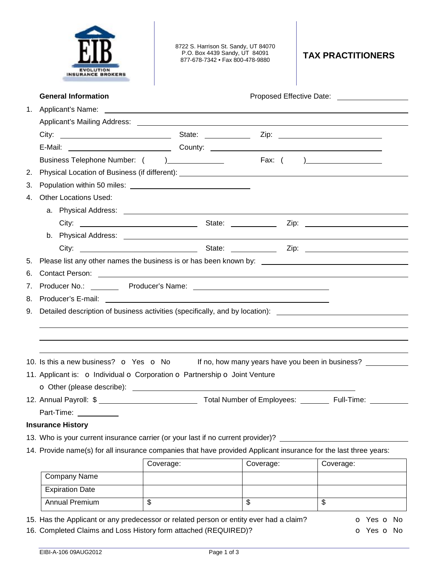|                | <b>INSURANCE BROKE</b>                                                                                                                                                                                                   | 8722 S. Harrison St. Sandy, UT 84070<br>P.O. Box 4439 Sandy, UT 84091<br>877-678-7342 • Fax 800-478-9880 |           | <b>TAX PRACTITIONERS</b>                                                     |  |  |  |  |  |  |
|----------------|--------------------------------------------------------------------------------------------------------------------------------------------------------------------------------------------------------------------------|----------------------------------------------------------------------------------------------------------|-----------|------------------------------------------------------------------------------|--|--|--|--|--|--|
|                | <b>General Information</b>                                                                                                                                                                                               |                                                                                                          |           | Proposed Effective Date: ____________________                                |  |  |  |  |  |  |
| 1.             |                                                                                                                                                                                                                          |                                                                                                          |           |                                                                              |  |  |  |  |  |  |
|                |                                                                                                                                                                                                                          |                                                                                                          |           |                                                                              |  |  |  |  |  |  |
|                |                                                                                                                                                                                                                          |                                                                                                          |           |                                                                              |  |  |  |  |  |  |
|                |                                                                                                                                                                                                                          |                                                                                                          |           |                                                                              |  |  |  |  |  |  |
|                | Business Telephone Number: () _______________                                                                                                                                                                            |                                                                                                          |           |                                                                              |  |  |  |  |  |  |
| 2.             |                                                                                                                                                                                                                          |                                                                                                          |           |                                                                              |  |  |  |  |  |  |
| 3.             |                                                                                                                                                                                                                          |                                                                                                          |           |                                                                              |  |  |  |  |  |  |
| 4.             | Other Locations Used:                                                                                                                                                                                                    |                                                                                                          |           |                                                                              |  |  |  |  |  |  |
|                |                                                                                                                                                                                                                          |                                                                                                          |           |                                                                              |  |  |  |  |  |  |
|                |                                                                                                                                                                                                                          |                                                                                                          |           |                                                                              |  |  |  |  |  |  |
|                |                                                                                                                                                                                                                          |                                                                                                          |           |                                                                              |  |  |  |  |  |  |
|                |                                                                                                                                                                                                                          |                                                                                                          |           |                                                                              |  |  |  |  |  |  |
| 5.             |                                                                                                                                                                                                                          |                                                                                                          |           |                                                                              |  |  |  |  |  |  |
| 6.             |                                                                                                                                                                                                                          |                                                                                                          |           |                                                                              |  |  |  |  |  |  |
|                |                                                                                                                                                                                                                          |                                                                                                          |           |                                                                              |  |  |  |  |  |  |
|                |                                                                                                                                                                                                                          |                                                                                                          |           |                                                                              |  |  |  |  |  |  |
|                | Producer's E-mail:                                                                                                                                                                                                       |                                                                                                          |           |                                                                              |  |  |  |  |  |  |
| 7.<br>8.<br>9. |                                                                                                                                                                                                                          | <u> 1989 - Andrea Stadt Britain, amerikansk politiker (</u>                                              |           |                                                                              |  |  |  |  |  |  |
|                |                                                                                                                                                                                                                          |                                                                                                          |           |                                                                              |  |  |  |  |  |  |
|                |                                                                                                                                                                                                                          |                                                                                                          |           | Detailed description of business activities (specifically, and by location): |  |  |  |  |  |  |
|                | 10. Is this a new business? o Yes o No                                                                                                                                                                                   |                                                                                                          |           |                                                                              |  |  |  |  |  |  |
|                | 11. Applicant is: o Individual o Corporation o Partnership o Joint Venture                                                                                                                                               |                                                                                                          |           |                                                                              |  |  |  |  |  |  |
|                |                                                                                                                                                                                                                          |                                                                                                          |           | If no, how many years have you been in business?                             |  |  |  |  |  |  |
|                |                                                                                                                                                                                                                          |                                                                                                          |           |                                                                              |  |  |  |  |  |  |
|                | Part-Time: __________                                                                                                                                                                                                    |                                                                                                          |           |                                                                              |  |  |  |  |  |  |
|                | <b>Insurance History</b>                                                                                                                                                                                                 |                                                                                                          |           |                                                                              |  |  |  |  |  |  |
|                | 13. Who is your current insurance carrier (or your last if no current provider)? ___________________<br>14. Provide name(s) for all insurance companies that have provided Applicant insurance for the last three years: |                                                                                                          |           |                                                                              |  |  |  |  |  |  |
|                |                                                                                                                                                                                                                          | Coverage:                                                                                                | Coverage: | Coverage:                                                                    |  |  |  |  |  |  |
|                | Company Name                                                                                                                                                                                                             |                                                                                                          |           |                                                                              |  |  |  |  |  |  |
|                | <b>Expiration Date</b>                                                                                                                                                                                                   |                                                                                                          |           |                                                                              |  |  |  |  |  |  |

15. Has the Applicant or any predecessor or related person or entity ever had a claim?  $\bullet$  Yes  $\bullet$  No 16. Completed Claims and Loss History form attached (REQUIRED)? **o COLLA** o Yes o No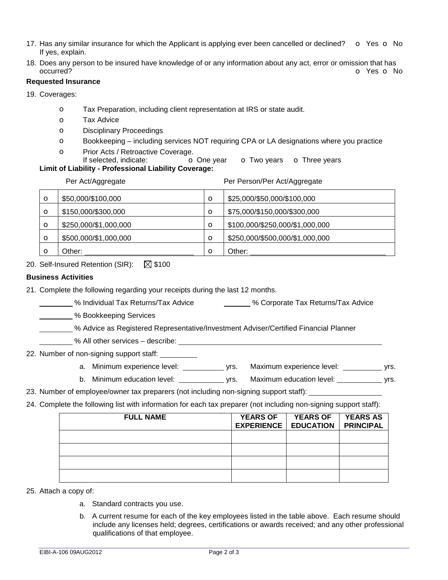- 17. Has any similar insurance for which the Applicant is applying ever been cancelled or declined?  $\bullet$  Yes  $\bullet$  No If yes, explain.
- 18. Does any person to be insured have knowledge of or any information about any act, error or omission that has occurred? **of American Control** Control Control Control Control Control Control Control Control Control Control Control Control Control Control Control Control Control Control Control Control Control Control Control Contro

## **Requested Insurance**

- 19. Coverages:
	- o Tax Preparation, including client representation at IRS or state audit.
	- o Tax Advice
	- o Disciplinary Proceedings
	- o Bookkeeping including services NOT requiring CPA or LA designations where you practice
	- o Prior Acts / Retroactive Coverage.
	- If selected, indicate: **o** One year **o** Two years **o** Three years

# **Limit of Liability - Professional Liability Coverage:**

| Per Act/Aggregate |                       | Per Person/Per Act/Aggregate |                                 |
|-------------------|-----------------------|------------------------------|---------------------------------|
| $\circ$           | \$50,000/\$100,000    | $\circ$                      | \$25,000/\$50,000/\$100,000     |
| $\circ$           | \$150,000/\$300,000   | $\circ$                      | \$75,000/\$150,000/\$300,000    |
| $\circ$           | \$250,000/\$1,000,000 | $\circ$                      | \$100,000/\$250,000/\$1,000,000 |
| $\circ$           | \$500,000/\$1,000,000 | $\circ$                      | \$250,000/\$500,000/\$1,000,000 |
| O                 | Other:                | O                            | Other:                          |

20. Self-Insured Retention (SIR):  $\boxtimes$  \$100

### **Business Activities**

- 21. Complete the following regarding your receipts during the last 12 months.
	- 6 Individual Tax Returns/Tax Advice **6 Advice 19 August 2018** Scrporate Tax Returns/Tax Advice

% Bookkeeping Services

% Advice as Registered Representative/Investment Adviser/Certified Financial Planner

% All other services – describe:

### 22. Number of non-signing support staff:

- a. Minimum experience level: \_\_\_\_\_\_\_\_\_\_\_\_ yrs. Maximum experience level: \_\_\_\_\_\_\_\_\_\_\_ yrs.
- b. Minimum education level: \_\_\_\_\_\_\_\_\_\_\_\_\_\_ yrs. Maximum education level: \_\_\_\_\_\_\_\_\_\_\_\_\_\_ yrs.
- 23. Number of employee/owner tax preparers (not including non-signing support staff):
- 24. Complete the following list with information for each tax preparer (not including non-signing support staff):

| <b>FULL NAME</b> | <b>YEARS OF</b><br><b>EXPERIENCE   EDUCATION  </b> | <b>YEARS OF</b> | <b>YEARS AS</b><br><b>PRINCIPAL</b> |
|------------------|----------------------------------------------------|-----------------|-------------------------------------|
|                  |                                                    |                 |                                     |
|                  |                                                    |                 |                                     |
|                  |                                                    |                 |                                     |
|                  |                                                    |                 |                                     |

25. Attach a copy of:

- a. Standard contracts you use.
- b. A current resume for each of the key employees listed in the table above. Each resume should include any licenses held; degrees, certifications or awards received; and any other professional qualifications of that employee.